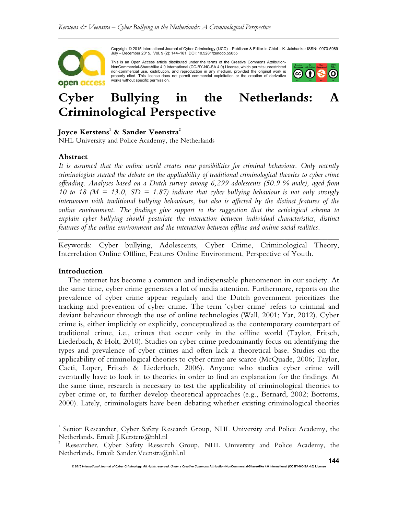

Copyright © 2015 International Journal of Cyber Criminology (IJCC) – Publisher & Editor-in-Chief – K. Jaishankar ISSN: 0973-5089 July – December 2015. Vol. 9 (2): 144–161. DOI: 10.5281/zenodo.55055

This is an Open Access article distributed under the terms of the Creative Commons Attribution-NonCommercial-ShareAlike 4.0 International (CC-BY-NC-SA 4.0) License, which permits unrestricted non-commercial use, distribution, and reproduction in any medium, provided the original work is<br>properly cited. This license does not permit commercial exploitation or the creation of derivative<br>works without specific perm



# **Cyber Bullying in the Netherlands: A Criminological Perspective**

# **Joyce Kerstens<sup>1</sup> & Sander Veenstra<sup>2</sup>**

NHL University and Police Academy, the Netherlands

#### **Abstract**

*It is assumed that the online world creates new possibilities for criminal behaviour. Only recently criminologists started the debate on the applicability of traditional criminological theories to cyber crime offending. Analyses based on a Dutch survey among 6,299 adolescents (50.9 % male), aged from 10 to 18 (M = 13.0, SD = 1.87) indicate that cyber bullying behaviour is not only strongly interwoven with traditional bullying behaviours, but also is affected by the distinct features of the online environment. The findings give support to the suggestion that the aetiological schema to explain cyber bullying should postulate the interaction between individual characteristics, distinct features of the online environment and the interaction between offline and online social realities.* 

*\_\_\_\_\_\_\_\_\_\_\_\_\_\_\_\_\_\_\_\_\_\_\_\_\_\_\_\_\_\_\_\_\_\_\_\_\_\_\_\_\_\_\_\_\_\_\_\_\_\_\_\_\_\_\_\_\_\_\_\_\_\_\_\_\_\_\_\_\_\_\_\_* Keywords: Cyber bullying, Adolescents, Cyber Crime, Criminological Theory, Interrelation Online Offline, Features Online Environment, Perspective of Youth.

# **Introduction**

 $\overline{a}$ 

The internet has become a common and indispensable phenomenon in our society. At the same time, cyber crime generates a lot of media attention. Furthermore, reports on the prevalence of cyber crime appear regularly and the Dutch government prioritizes the tracking and prevention of cyber crime. The term 'cyber crime' refers to criminal and deviant behaviour through the use of online technologies (Wall, 2001; Yar, 2012). Cyber crime is, either implicitly or explicitly, conceptualized as the contemporary counterpart of traditional crime, i.e., crimes that occur only in the offline world (Taylor, Fritsch, Liederbach, & Holt, 2010). Studies on cyber crime predominantly focus on identifying the types and prevalence of cyber crimes and often lack a theoretical base. Studies on the applicability of criminological theories to cyber crime are scarce (McQuade, 2006; Taylor, Caeti, Loper, Fritsch & Liederbach, 2006). Anyone who studies cyber crime will eventually have to look in to theories in order to find an explanation for the findings. At the same time, research is necessary to test the applicability of criminological theories to cyber crime or, to further develop theoretical approaches (e.g., Bernard, 2002; Bottoms, 2000). Lately, criminologists have been debating whether existing criminological theories

<sup>1</sup> Senior Researcher, Cyber Safety Research Group, NHL University and Police Academy, the Netherlands. Email: J.Kerstens@nhl.nl

<sup>2</sup> Researcher, Cyber Safety Research Group, NHL University and Police Academy, the Netherlands. Email: Sander.Veenstra@nhl.nl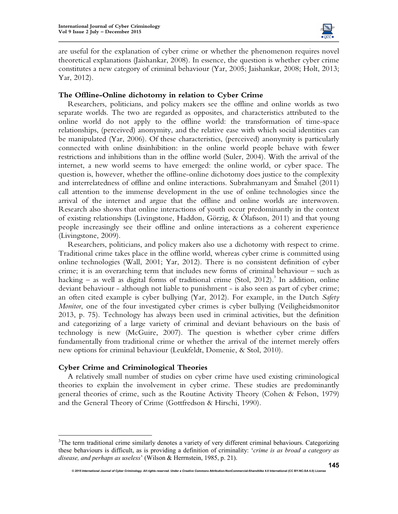

are useful for the explanation of cyber crime or whether the phenomenon requires novel theoretical explanations (Jaishankar, 2008). In essence, the question is whether cyber crime constitutes a new category of criminal behaviour (Yar, 2005; Jaishankar, 2008; Holt, 2013; Yar, 2012).

# **The Offline-Online dichotomy in relation to Cyber Crime**

Researchers, politicians, and policy makers see the offline and online worlds as two separate worlds. The two are regarded as opposites, and characteristics attributed to the online world do not apply to the offline world: the transformation of time-space relationships, (perceived) anonymity, and the relative ease with which social identities can be manipulated (Yar, 2006). Of these characteristics, (perceived) anonymity is particularly connected with online disinhibition: in the online world people behave with fewer restrictions and inhibitions than in the offline world (Suler, 2004). With the arrival of the internet, a new world seems to have emerged: the online world, or cyber space. The question is, however, whether the offline-online dichotomy does justice to the complexity and interrelatedness of offline and online interactions. Subrahmanyam and Šmahel (2011) call attention to the immense development in the use of online technologies since the arrival of the internet and argue that the offline and online worlds are interwoven. Research also shows that online interactions of youth occur predominantly in the context of existing relationships (Livingstone, Haddon, Görzig, & Ólafsson, 2011) and that young people increasingly see their offline and online interactions as a coherent experience (Livingstone, 2009).

Researchers, politicians, and policy makers also use a dichotomy with respect to crime. Traditional crime takes place in the offline world, whereas cyber crime is committed using online technologies (Wall, 2001; Yar, 2012). There is no consistent definition of cyber crime; it is an overarching term that includes new forms of criminal behaviour – such as hacking  $-$  as well as digital forms of traditional crime (Stol, 2012).<sup>3</sup> In addition, online deviant behaviour - although not liable to punishment - is also seen as part of cyber crime; an often cited example is cyber bullying (Yar, 2012). For example, in the Dutch *Safety Monitor*, one of the four investigated cyber crimes is cyber bullying (Veiligheidsmonitor 2013, p. 75). Technology has always been used in criminal activities, but the definition and categorizing of a large variety of criminal and deviant behaviours on the basis of technology is new (McGuire, 2007). The question is whether cyber crime differs fundamentally from traditional crime or whether the arrival of the internet merely offers new options for criminal behaviour (Leukfeldt, Domenie, & Stol, 2010).

#### **Cyber Crime and Criminological Theories**

-

A relatively small number of studies on cyber crime have used existing criminological theories to explain the involvement in cyber crime. These studies are predominantly general theories of crime, such as the Routine Activity Theory (Cohen & Felson, 1979) and the General Theory of Crime (Gottfredson & Hirschi, 1990).

 $3$ The term traditional crime similarly denotes a variety of very different criminal behaviours. Categorizing these behaviours is difficult, as is providing a definition of criminality: '*crime is as broad a category as disease, and perhaps as useless*' (Wilson & Herrnstein, 1985, p. 21).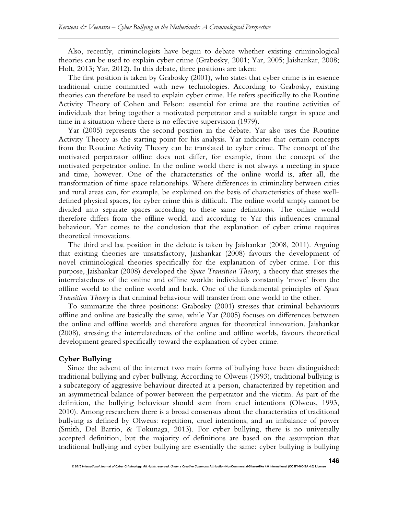Also, recently, criminologists have begun to debate whether existing criminological theories can be used to explain cyber crime (Grabosky, 2001; Yar, 2005; Jaishankar, 2008; Holt, 2013; Yar, 2012). In this debate, three positions are taken:

The first position is taken by Grabosky (2001), who states that cyber crime is in essence traditional crime committed with new technologies. According to Grabosky, existing theories can therefore be used to explain cyber crime. He refers specifically to the Routine Activity Theory of Cohen and Felson: essential for crime are the routine activities of individuals that bring together a motivated perpetrator and a suitable target in space and time in a situation where there is no effective supervision (1979).

Yar (2005) represents the second position in the debate. Yar also uses the Routine Activity Theory as the starting point for his analysis. Yar indicates that certain concepts from the Routine Activity Theory can be translated to cyber crime. The concept of the motivated perpetrator offline does not differ, for example, from the concept of the motivated perpetrator online. In the online world there is not always a meeting in space and time, however. One of the characteristics of the online world is, after all, the transformation of time-space relationships. Where differences in criminality between cities and rural areas can, for example, be explained on the basis of characteristics of these welldefined physical spaces, for cyber crime this is difficult. The online world simply cannot be divided into separate spaces according to these same definitions. The online world therefore differs from the offline world, and according to Yar this influences criminal behaviour. Yar comes to the conclusion that the explanation of cyber crime requires theoretical innovations.

The third and last position in the debate is taken by Jaishankar (2008, 2011). Arguing that existing theories are unsatisfactory, Jaishankar (2008) favours the development of novel criminological theories specifically for the explanation of cyber crime. For this purpose, Jaishankar (2008) developed the *Space Transition Theory,* a theory that stresses the interrelatedness of the online and offline worlds: individuals constantly 'move' from the offline world to the online world and back. One of the fundamental principles of *Space Transition Theory* is that criminal behaviour will transfer from one world to the other.

To summarize the three positions: Grabosky (2001) stresses that criminal behaviours offline and online are basically the same, while Yar (2005) focuses on differences between the online and offline worlds and therefore argues for theoretical innovation. Jaishankar (2008), stressing the interrelatedness of the online and offline worlds, favours theoretical development geared specifically toward the explanation of cyber crime.

#### **Cyber Bullying**

Since the advent of the internet two main forms of bullying have been distinguished: traditional bullying and cyber bullying. According to Olweus (1993), traditional bullying is a subcategory of aggressive behaviour directed at a person, characterized by repetition and an asymmetrical balance of power between the perpetrator and the victim. As part of the definition, the bullying behaviour should stem from cruel intentions (Olweus, 1993, 2010). Among researchers there is a broad consensus about the characteristics of traditional bullying as defined by Olweus: repetition, cruel intentions, and an imbalance of power (Smith, Del Barrio, & Tokunaga, 2013). For cyber bullying, there is no universally accepted definition, but the majority of definitions are based on the assumption that traditional bullying and cyber bullying are essentially the same: cyber bullying is bullying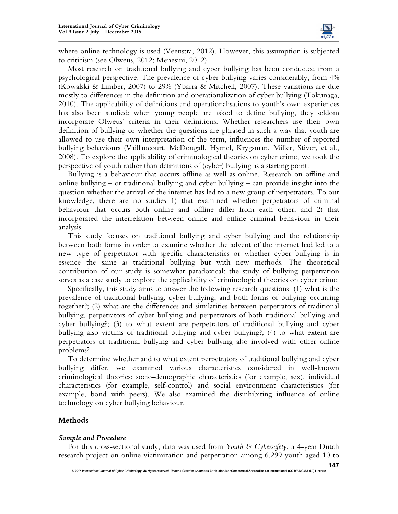

where online technology is used (Veenstra, 2012). However, this assumption is subjected to criticism (see Olweus, 2012; Menesini, 2012).

Most research on traditional bullying and cyber bullying has been conducted from a psychological perspective. The prevalence of cyber bullying varies considerably, from 4% (Kowalski & Limber, 2007) to 29% (Ybarra & Mitchell, 2007). These variations are due mostly to differences in the definition and operationalization of cyber bullying (Tokunaga, 2010). The applicability of definitions and operationalisations to youth's own experiences has also been studied: when young people are asked to define bullying, they seldom incorporate Olweus' criteria in their definitions. Whether researchers use their own definition of bullying or whether the questions are phrased in such a way that youth are allowed to use their own interpretation of the term, influences the number of reported bullying behaviours (Vaillancourt, McDougall, Hymel, Krygsman, Miller, Stiver, et al., 2008). To explore the applicability of criminological theories on cyber crime, we took the perspective of youth rather than definitions of (cyber) bullying as a starting point.

Bullying is a behaviour that occurs offline as well as online. Research on offline and online bullying – or traditional bullying and cyber bullying – can provide insight into the question whether the arrival of the internet has led to a new group of perpetrators. To our knowledge, there are no studies 1) that examined whether perpetrators of criminal behaviour that occurs both online and offline differ from each other, and 2) that incorporated the interrelation between online and offline criminal behaviour in their analysis.

This study focuses on traditional bullying and cyber bullying and the relationship between both forms in order to examine whether the advent of the internet had led to a new type of perpetrator with specific characteristics or whether cyber bullying is in essence the same as traditional bullying but with new methods. The theoretical contribution of our study is somewhat paradoxical: the study of bullying perpetration serves as a case study to explore the applicability of criminological theories on cyber crime.

Specifically, this study aims to answer the following research questions: (1) what is the prevalence of traditional bullying, cyber bullying, and both forms of bullying occurring together?; (2) what are the differences and similarities between perpetrators of traditional bullying, perpetrators of cyber bullying and perpetrators of both traditional bullying and cyber bullying?; (3) to what extent are perpetrators of traditional bullying and cyber bullying also victims of traditional bullying and cyber bullying?; (4) to what extent are perpetrators of traditional bullying and cyber bullying also involved with other online problems?

To determine whether and to what extent perpetrators of traditional bullying and cyber bullying differ, we examined various characteristics considered in well-known criminological theories: socio-demographic characteristics (for example, sex), individual characteristics (for example, self-control) and social environment characteristics (for example, bond with peers). We also examined the disinhibiting influence of online technology on cyber bullying behaviour.

#### **Methods**

#### *Sample and Procedure*

For this cross-sectional study, data was used from *Youth & Cybersafety*, a 4-year Dutch research project on online victimization and perpetration among 6,299 youth aged 10 to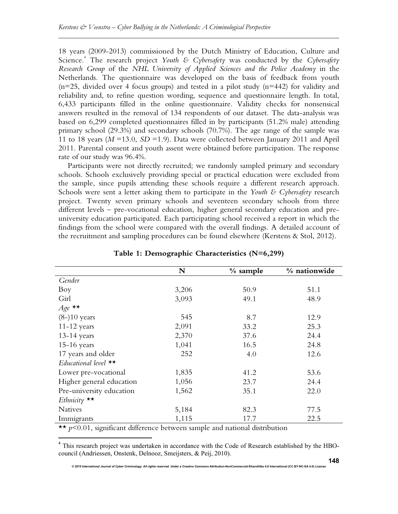18 years (2009-2013) commissioned by the Dutch Ministry of Education, Culture and Science.<sup>4</sup> The research project *Youth & Cybersafety* was conducted by the *Cybersafety Research Group* of the *NHL University of Applied Sciences and the Police Academy* in the Netherlands. The questionnaire was developed on the basis of feedback from youth  $(n=25, \text{ divided over } 4 \text{ focus groups})$  and tested in a pilot study  $(n=442)$  for validity and reliability and, to refine question wording, sequence and questionnaire length. In total, 6,433 participants filled in the online questionnaire. Validity checks for nonsensical answers resulted in the removal of 134 respondents of our dataset. The data-analysis was based on 6,299 completed questionnaires filled in by participants (51.2% male) attending primary school (29.3%) and secondary schools (70.7%). The age range of the sample was 11 to 18 years  $(M = 13.0, SD = 1.9)$ . Data were collected between January 2011 and April 2011. Parental consent and youth assent were obtained before participation. The response rate of our study was 96.4%.

Participants were not directly recruited; we randomly sampled primary and secondary schools. Schools exclusively providing special or practical education were excluded from the sample, since pupils attending these schools require a different research approach. Schools were sent a letter asking them to participate in the *Youth & Cybersafety* research project. Twenty seven primary schools and seventeen secondary schools from three different levels – pre-vocational education, higher general secondary education and preuniversity education participated. Each participating school received a report in which the findings from the school were compared with the overall findings. A detailed account of the recruitment and sampling procedures can be found elsewhere (Kerstens & Stol, 2012).

|                          | N     | $%$ sample | % nationwide |
|--------------------------|-------|------------|--------------|
| Gender                   |       |            |              |
| Boy                      | 3,206 | 50.9       | 51.1         |
| Girl                     | 3,093 | 49.1       | 48.9         |
| $Age \star\star$         |       |            |              |
| $(8-)10$ years           | 545   | 8.7        | 12.9         |
| $11-12$ years            | 2,091 | 33.2       | 25.3         |
| $13-14$ years            | 2,370 | 37.6       | 24.4         |
| $15-16$ years            | 1,041 | 16.5       | 24.8         |
| 17 years and older       | 252   | 4.0        | 12.6         |
| Educational level $**$   |       |            |              |
| Lower pre-vocational     | 1,835 | 41.2       | 53.6         |
| Higher general education | 1,056 | 23.7       | 24.4         |
| Pre-university education | 1,562 | 35.1       | 22.0         |
| Ethnicity $**$           |       |            |              |
| <b>Natives</b>           | 5,184 | 82.3       | 77.5         |
| Immigrants               | 1,115 | 17.7       | 22.5         |

**Table 1: Demographic Characteristics (N=6,299)** 

\*\* *p*<0.01, significant difference between sample and national distribution

 $\overline{a}$ 

<sup>4</sup> This research project was undertaken in accordance with the Code of Research established by the HBOcouncil (Andriessen, Onstenk, Delnooz, Smeijsters, & Peij, 2010).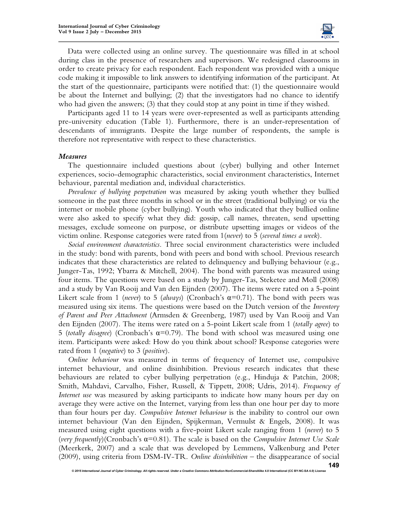

Data were collected using an online survey. The questionnaire was filled in at school during class in the presence of researchers and supervisors. We redesigned classrooms in order to create privacy for each respondent. Each respondent was provided with a unique code making it impossible to link answers to identifying information of the participant. At the start of the questionnaire, participants were notified that: (1) the questionnaire would be about the Internet and bullying; (2) that the investigators had no chance to identify who had given the answers; (3) that they could stop at any point in time if they wished.

Participants aged 11 to 14 years were over-represented as well as participants attending pre-university education (Table 1). Furthermore, there is an under-representation of descendants of immigrants. Despite the large number of respondents, the sample is therefore not representative with respect to these characteristics.

#### *Measures*

The questionnaire included questions about (cyber) bullying and other Internet experiences, socio-demographic characteristics, social environment characteristics, Internet behaviour, parental mediation and, individual characteristics.

*Prevalence of bullying perpetration* was measured by asking youth whether they bullied someone in the past three months in school or in the street (traditional bullying) or via the internet or mobile phone (cyber bullying). Youth who indicated that they bullied online were also asked to specify what they did: gossip, call names, threaten, send upsetting messages, exclude someone on purpose, or distribute upsetting images or videos of the victim online. Response categories were rated from 1(*never*) to 5 (*several times a week*).

*Social environment characteristics.* Three social environment characteristics were included in the study: bond with parents, bond with peers and bond with school. Previous research indicates that these characteristics are related to delinquency and bullying behaviour (e.g., Junger-Tas, 1992; Ybarra & Mitchell, 2004). The bond with parents was measured using four items. The questions were based on a study by Junger-Tas, Steketee and Moll (2008) and a study by Van Rooij and Van den Eijnden (2007). The items were rated on a 5-point Likert scale from 1 (*never*) to 5 (*always*) (Cronbach's  $\alpha$ =0.71). The bond with peers was measured using six items. The questions were based on the Dutch version of the *Inventory of Parent and Peer Attachment* (Armsden & Greenberg, 1987) used by Van Rooij and Van den Eijnden (2007). The items were rated on a 5-point Likert scale from 1 (*totally agree*) to 5 (*totally disagree*) (Cronbach's α=0.79). The bond with school was measured using one item. Participants were asked: How do you think about school? Response categories were rated from 1 (*negative*) to 3 (*positive*).

*Online behaviour* was measured in terms of frequency of Internet use, compulsive internet behaviour, and online disinhibition. Previous research indicates that these behaviours are related to cyber bullying perpetration (e.g., Hinduja & Patchin, 2008; Smith, Mahdavi, Carvalho, Fisher, Russell, & Tippett, 2008; Udris, 2014). *Frequency of Internet use* was measured by asking participants to indicate how many hours per day on average they were active on the Internet, varying from less than one hour per day to more than four hours per day. *Compulsive Internet behaviour* is the inability to control our own internet behaviour (Van den Eijnden, Spijkerman, Vermulst & Engels, 2008). It was measured using eight questions with a five-point Likert scale ranging from 1 (*never*) to 5 (*very frequently*)(Cronbach's α=0.81). The scale is based on the *Compulsive Internet Use Scale* (Meerkerk, 2007) and a scale that was developed by Lemmens, Valkenburg and Peter (2009), using criteria from DSM-IV-TR. *Online disinhibition* – the disappearance of social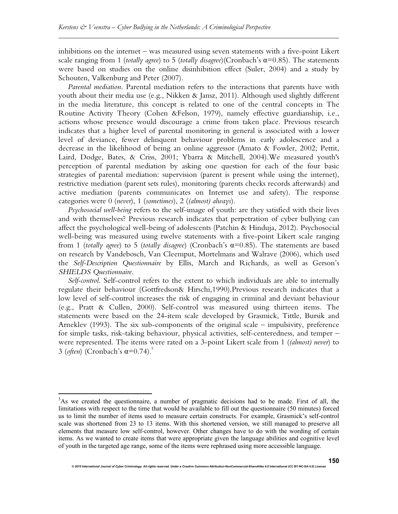inhibitions on the internet – was measured using seven statements with a five-point Likert scale ranging from 1 (*totally agree*) to 5 (*totally disagree*)(Cronbach's α=0.85). The statements were based on studies on the online disinhibition effect (Suler, 2004) and a study by Schouten, Valkenburg and Peter (2007).

*Parental mediation*. Parental mediation refers to the interactions that parents have with youth about their media use (e.g., Nikken & Jansz, 2011). Although used slightly different in the media literature, this concept is related to one of the central concepts in The Routine Activity Theory (Cohen &Felson, 1979), namely effective guardianship, i.e., actions whose presence would discourage a crime from taken place. Previous research indicates that a higher level of parental monitoring in general is associated with a lower level of deviance, fewer delinquent behaviour problems in early adolescence and a decrease in the likelihood of being an online aggressor (Amato & Fowler, 2002; Pettit, Laird, Dodge, Bates, & Criss, 2001; Ybarra & Mitchell, 2004).We measured youth's perception of parental mediation by asking one question for each of the four basic strategies of parental mediation: supervision (parent is present while using the internet), restrictive mediation (parent sets rules), monitoring (parents checks records afterwards) and active mediation (parents communicates on Internet use and safety). The response categories were 0 (*never*), 1 (*sometimes*), 2 (*(almost) always*).

*Psychosocial well-being* refers to the self-image of youth: are they satisfied with their lives and with themselves? Previous research indicates that perpetration of cyber bullying can affect the psychological well-being of adolescents (Patchin & Hinduja, 2012). Psychosocial well-being was measured using twelve statements with a five-point Likert scale ranging from 1 (*totally agree*) to 5 (*totally disagree*) (Cronbach's α=0.85). The statements are based on research by Vandebosch, Van Cleemput, Mortelmans and Walrave (2006), which used the *Self-Description Questionnaire* by Ellis, March and Richards, as well as Gerson's *SHIELDS Questionnaire*.

*Self-control*. Self-control refers to the extent to which individuals are able to internally regulate their behaviour (Gottfredson& Hirschi,1990).Previous research indicates that a low level of self-control increases the risk of engaging in criminal and deviant behaviour (e.g., Pratt & Cullen, 2000). Self-control was measured using thirteen items. The statements were based on the 24-item scale developed by Grasmick, Tittle, Bursik and Arneklev (1993). The six sub-components of the original scale – impulsivity, preference for simple tasks, risk-taking behaviour, physical activities, self-centeredness, and temper – were represented. The items were rated on a 3-point Likert scale from 1 (*(almost) never*) to 3 (*often*) (Cronbach's  $\alpha$ =0.74).<sup>5</sup>

<u>.</u>

 $5$ As we created the questionnaire, a number of pragmatic decisions had to be made. First of all, the limitations with respect to the time that would be available to fill out the questionnaire (50 minutes) forced us to limit the number of items used to measure certain constructs. For example, Grasmick's self-control scale was shortened from 23 to 13 items. With this shortened version, we still managed to preserve all elements that measure low self-control, however. Other changes have to do with the wording of certain items. As we wanted to create items that were appropriate given the language abilities and cognitive level of youth in the targeted age range, some of the items were rephrased using more accessible language.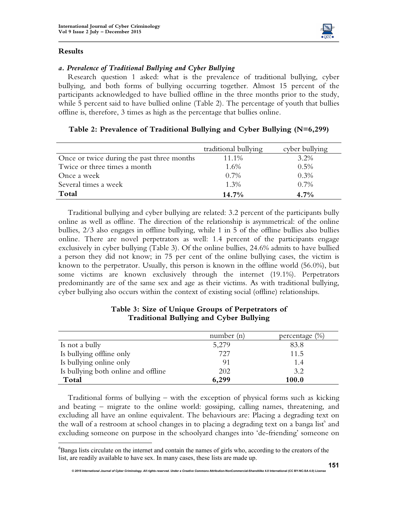

 $\overline{a}$ 



# *a. Prevalence of Traditional Bullying and Cyber Bullying*

Research question 1 asked: what is the prevalence of traditional bullying, cyber bullying, and both forms of bullying occurring together. Almost 15 percent of the participants acknowledged to have bullied offline in the three months prior to the study, while 5 percent said to have bullied online (Table 2). The percentage of youth that bullies offline is, therefore, 3 times as high as the percentage that bullies online.

|                                            | traditional bullying | cyber bullying |
|--------------------------------------------|----------------------|----------------|
| Once or twice during the past three months | 11.1%                | 3.2%           |
| Twice or three times a month               | 1.6%                 | 0.5%           |
| Once a week                                | $0.7\%$              | 0.3%           |
| Several times a week                       | $1.3\%$              | 0.7%           |
| Total                                      | $14.7\%$             | $4.7\%$        |

Traditional bullying and cyber bullying are related: 3.2 percent of the participants bully online as well as offline. The direction of the relationship is asymmetrical: of the online bullies, 2/3 also engages in offline bullying, while 1 in 5 of the offline bullies also bullies online. There are novel perpetrators as well: 1.4 percent of the participants engage exclusively in cyber bullying (Table 3). Of the online bullies, 24.6% admits to have bullied a person they did not know; in 75 per cent of the online bullying cases, the victim is known to the perpetrator. Usually, this person is known in the offline world (56.0%), but some victims are known exclusively through the internet (19.1%). Perpetrators predominantly are of the same sex and age as their victims. As with traditional bullying, cyber bullying also occurs within the context of existing social (offline) relationships.

|                                     | number $(n)$ | percentage $(\%)$ |
|-------------------------------------|--------------|-------------------|
| Is not a bully                      | 5,279        | 83.8              |
| Is bullying offline only            | 727          | 11.5              |
| Is bullying online only             |              | 1.4               |
| Is bullying both online and offline | 202          | 3.2               |
| Total                               | 6,299        | 100.0             |

# **Table 3: Size of Unique Groups of Perpetrators of Traditional Bullying and Cyber Bullying**

Traditional forms of bullying – with the exception of physical forms such as kicking and beating – migrate to the online world: gossiping, calling names, threatening, and excluding all have an online equivalent. The behaviours are: Placing a degrading text on the wall of a restroom at school changes in to placing a degrading text on a banga list and excluding someone on purpose in the schoolyard changes into 'de-friending' someone on

<sup>&</sup>lt;sup>6</sup>Banga lists circulate on the internet and contain the names of girls who, according to the creators of the list, are readily available to have sex. In many cases, these lists are made up.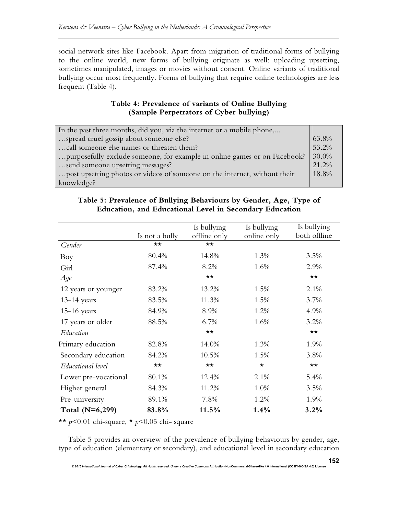social network sites like Facebook. Apart from migration of traditional forms of bullying to the online world, new forms of bullying originate as well: uploading upsetting, sometimes manipulated, images or movies without consent. Online variants of traditional bullying occur most frequently. Forms of bullying that require online technologies are less frequent (Table 4).

# **Table 4: Prevalence of variants of Online Bullying (Sample Perpetrators of Cyber bullying)**

| In the past three months, did you, via the internet or a mobile phone,    |       |
|---------------------------------------------------------------------------|-------|
| spread cruel gossip about someone else?                                   | 63.8% |
| call someone else names or threaten them?                                 | 53.2% |
| purposefully exclude someone, for example in online games or on Facebook? | 30.0% |
| send someone upsetting messages?                                          | 21.2% |
| post upsetting photos or videos of someone on the internet, without their | 18.8% |
| knowledge?                                                                |       |

# **Table 5: Prevalence of Bullying Behaviours by Gender, Age, Type of Education, and Educational Level in Secondary Education**

|                      |                | Is bullying  | Is bullying | Is bullying  |
|----------------------|----------------|--------------|-------------|--------------|
|                      | Is not a bully | offline only | online only | both offline |
| Gender               | $\star\star$   | $\star\star$ |             |              |
| Boy                  | 80.4%          | 14.8%        | 1.3%        | 3.5%         |
| Girl                 | 87.4%          | 8.2%         | 1.6%        | 2.9%         |
| Age                  |                | $\star\star$ |             | $\star\star$ |
| 12 years or younger  | 83.2%          | 13.2%        | 1.5%        | 2.1%         |
| $13-14$ years        | 83.5%          | 11.3%        | 1.5%        | 3.7%         |
| $15-16$ years        | 84.9%          | 8.9%         | 1.2%        | 4.9%         |
| 17 years or older    | 88.5%          | 6.7%         | 1.6%        | 3.2%         |
| Education            |                | $\star\star$ |             | $\star\star$ |
| Primary education    | 82.8%          | 14.0%        | 1.3%        | 1.9%         |
| Secondary education  | 84.2%          | 10.5%        | 1.5%        | 3.8%         |
| Educational level    | $\star\star$   | $\star\star$ | $\star$     | $\star\star$ |
| Lower pre-vocational | 80.1%          | 12.4%        | 2.1%        | 5.4%         |
| Higher general       | 84.3%          | 11.2%        | 1.0%        | 3.5%         |
| Pre-university       | 89.1%          | 7.8%         | 1.2%        | 1.9%         |
| Total $(N=6,299)$    | 83.8%          | 11.5%        | 1.4%        | 3.2%         |

\*\* *p*<0.01 chi-square, \* *p*<0.05 chi- square

Table 5 provides an overview of the prevalence of bullying behaviours by gender, age, type of education (elementary or secondary), and educational level in secondary education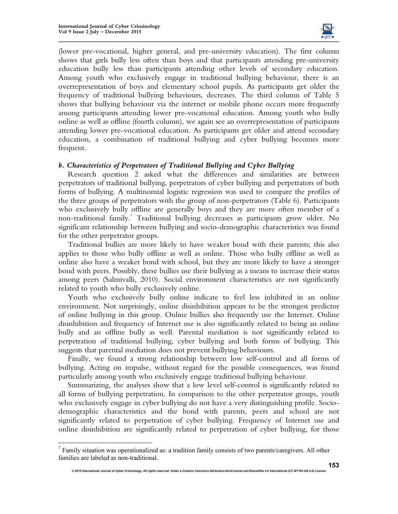$\overline{a}$ 



(lower pre-vocational, higher general, and pre-university education). The first column shows that girls bully less often than boys and that participants attending pre-university education bully less than participants attending other levels of secondary education. Among youth who exclusively engage in traditional bullying behaviour, there is an overrepresentation of boys and elementary school pupils. As participants get older the frequency of traditional bullying behaviours, decreases. The third column of Table 5 shows that bullying behaviour via the internet or mobile phone occurs more frequently among participants attending lower pre-vocational education. Among youth who bully online as well as offline (fourth column), we again see an overrepresentation of participants attending lower pre-vocational education. As participants get older and attend secondary education, a combination of traditional bullying and cyber bullying becomes more frequent.

#### *b. Characteristics of Perpetrators of Traditional Bullying and Cyber Bullying*

Research question 2 asked what the differences and similarities are between perpetrators of traditional bullying, perpetrators of cyber bullying and perpetrators of both forms of bullying. A multinomial logistic regression was used to compare the profiles of the three groups of perpetrators with the group of non-perpetrators (Table 6). Participants who exclusively bully offline are generally boys and they are more often member of a non-traditional family.<sup>7</sup> Traditional bullying decreases as participants grow older. No significant relationship between bullying and socio-demographic characteristics was found for the other perpetrator groups.

Traditional bullies are more likely to have weaker bond with their parents; this also applies to those who bully offline as well as online. Those who bully offline as well as online also have a weaker bond with school, but they are more likely to have a stronger bond with peers. Possibly, these bullies use their bullying as a means to increase their status among peers (Salmivalli, 2010). Social environment characteristics are not significantly related to youth who bully exclusively online.

Youth who exclusively bully online indicate to feel less inhibited in an online environment. Not surprisingly, online disinhibition appears to be the strongest predictor of online bullying in this group. Online bullies also frequently use the Internet. Online disinhibition and frequency of Internet use is also significantly related to being an online bully and an offline bully as well. Parental mediation is not significantly related to perpetration of traditional bullying, cyber bullying and both forms of bullying. This suggests that parental mediation does not prevent bullying behaviours.

Finally, we found a strong relationship between low self-control and all forms of bullying. Acting on impulse, without regard for the possible consequences, was found particularly among youth who exclusively engage traditional bullying behaviour.

Summarizing, the analyses show that a low level self-control is significantly related to all forms of bullying perpetration. In comparison to the other perpetrator groups, youth who exclusively engage in cyber bullying do not have a very distinguishing profile. Sociodemographic characteristics and the bond with parents, peers and school are not significantly related to perpetration of cyber bullying. Frequency of Internet use and online disinhibition are significantly related to perpetration of cyber bullying, for those

 $<sup>7</sup>$  Family situation was operationalized as: a tradition family consists of two parents/caregivers. All other</sup> families are labeled as non-traditional.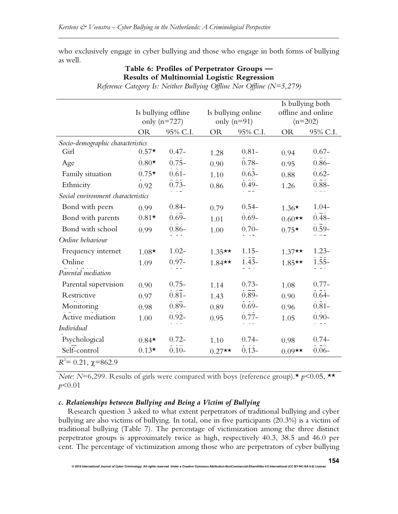who exclusively engage in cyber bullying and those who engage in both forms of bullying as well.

# **Table 6: Profiles of Perpetrator Groups — Results of Multinomial Logistic Regression**

|                                    |                     |                     |               | Is bullying both   |           |                     |
|------------------------------------|---------------------|---------------------|---------------|--------------------|-----------|---------------------|
|                                    | Is bullying offline |                     |               | Is bullying online |           | offline and online  |
|                                    | only $(n=727)$      |                     | only $(n=91)$ |                    | $(n=202)$ |                     |
|                                    | <b>OR</b>           | 95% C.I.            | <b>OR</b>     | 95% C.I.           | <b>OR</b> | 95% C.I.            |
| Socio-demographic characteristics  |                     |                     |               |                    |           |                     |
| Girl                               | $0.57*$             | $0.47 -$            | 1.28          | $0.81 -$           | 0.94      | $0.67 -$            |
| Age                                | $0.80*$             | $0.75-$             | 0.90          | $0.78 -$           | 0.95      | $0.86 -$            |
| Family situation                   | $0.75*$             | $0.\overline{61}$   | 1.10          | $0.63 -$           | 0.88      | $0.\overline{62}$   |
| Ethnicity                          | 0.92                | $0.73-$             | 0.86          | $0.49-$            | 1.26      | $0.\overline{88}$ - |
| Social environment characteristics |                     |                     |               |                    |           |                     |
| Bond with peers                    | 0.99                | $0.84 -$            | 0.79          | $0.54 -$           | $1.36*$   | $1.04-$             |
| Bond with parents                  | $0.81*$             | $0.69-$             | 1.01          | $0.69 -$           | $0.60**$  | $0.48 -$            |
| Bond with school                   | 0.99                | $0.\overline{86}$ - | 1.00          | $0.70-$            | $0.75*$   | $0.\overline{59}$ - |
| Online behaviour                   |                     |                     |               |                    |           |                     |
| Frequency internet                 | $1.08*$             | $1.02 -$            | $1.35**$      | $1.15-$            | $1.37**$  | $1.23 -$            |
| Online                             | 1.09                | $0.97 -$            | $1.84**$      | $1.\overline{43}$  | $1.85**$  | $1.\overline{55}$ - |
| Parental mediation                 |                     |                     |               |                    |           |                     |
| Parental supervision               | 0.90                | $0.75 -$            | 1.14          | $0.73-$            | 1.08      | $0.77-$             |
| Restrictive                        | 0.97                | $0.\overline{81}$   | 1.43          | $0.\overline{89}$  | 0.90      | $0.\bar{6}4-$       |
| Monitoring                         | 0.98                | $0.89-$             | 0.89          | $0.69-$            | 0.96      | $0.\overline{81}$   |
| Active mediation                   | 1.00                | $0.92 -$            | 0.95          | $0.77-$            | 1.05      | $0.90 -$            |
| Individual                         |                     |                     |               |                    |           |                     |
| Psychological                      | $0.84*$             | $0.72 -$            | 1.10          | $0.74-$            | 0.98      | $0.74-$             |
| Self-control                       | $0.13*$             | $0.\overline{10}$ - | $0.27**$      | $0.13 -$           | $0.09**$  | $0.\overline{06}$ - |
| $R^2$ = 0.21, $\chi$ =862.9        |                     |                     |               |                    |           |                     |

*Reference Category Is: Neither Bullying Offline Nor Offline (N=5,279)* 

*Note*: *N*=6,299. Results of girls were compared with boys (reference group).\*  $p$ <0.05, \*\* *p*<0.01

# *c. Relationships between Bullying and Being a Victim of Bullying*

Research question 3 asked to what extent perpetrators of traditional bullying and cyber bullying are also victims of bullying. In total, one in five participants (20.3%) is a victim of traditional bullying (Table 7). The percentage of victimization among the three distinct perpetrator groups is approximately twice as high, respectively 40.3, 38.5 and 46.0 per cent. The percentage of victimization among those who are perpetrators of cyber bullying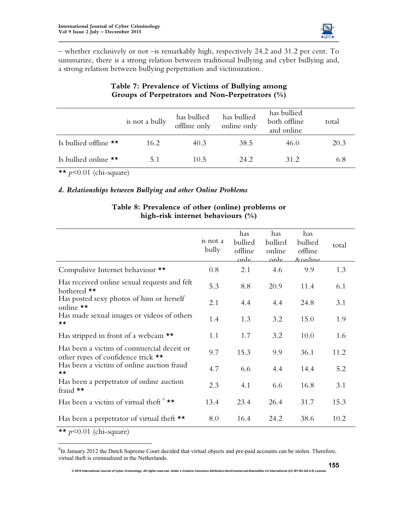

– whether exclusively or not –is remarkably high, respectively 24.2 and 31.2 per cent. To summarize, there is a strong relation between traditional bullying and cyber bullying and, a strong relation between bullying perpetration and victimization.

|                                 | is not a bully | has bullied<br>offline only | has bullied<br>online only | has bullied<br>both offline<br>and online | total |
|---------------------------------|----------------|-----------------------------|----------------------------|-------------------------------------------|-------|
| Is bullied offline $\star\star$ | 16.2           | 40.3                        | 38.5                       | 46.0                                      | 20.3  |
| Is bullied online $\star\star$  | 5.1            | 10.5                        | 24.2                       | 31.2                                      | 6.8   |

# **Table 7: Prevalence of Victims of Bullying among Groups of Perpetrators and Non-Perpetrators (%)**

 $\star \star p \leq 0.01$  (chi-square)

# *d. Relationships between Bullying and other Online Problems*

|                                                                                           | is not a<br>bully | has<br>bullied<br>offline<br>only | has<br>bullied<br>online<br>only | has<br>bullied<br>offline<br><u>&amp;online</u> | total |
|-------------------------------------------------------------------------------------------|-------------------|-----------------------------------|----------------------------------|-------------------------------------------------|-------|
| Compulsive Internet behaviour **                                                          | 0.8               | 2.1                               | 4.6                              | 9.9                                             | 1.3   |
| Has received online sexual requests and felt<br>bothered **                               | 5.3               | 8.8                               | 20.9                             | 11.4                                            | 6.1   |
| Has posted sexy photos of him or herself<br>online $\star\star$                           | 2.1               | 4.4                               | 4.4                              | 24.8                                            | 3.1   |
| Has made sexual images or videos of others<br>$\star\star$                                | 1.4               | 1.3                               | 3.2                              | 15.0                                            | 1.9   |
| Has stripped in front of a webcam $\star\star$                                            | 1.1               | 1.7                               | 3.2                              | 10.0                                            | 1.6   |
| Has been a victim of commercial deceit or<br>other types of confidence trick $\star\star$ | 9.7               | 15.3                              | 9.9                              | 36.1                                            | 11.2  |
| Has been a victim of online auction fraud<br>$\star\star$                                 | 4.7               | 6.6                               | 4.4                              | 14.4                                            | 5.2   |
| Has been a perpetrator of online auction<br>fraud **                                      | 2.3               | 4.1                               | 6.6                              | 16.8                                            | 3.1   |
| Has been a victim of virtual theft $* \star \star$                                        | 13.4              | 23.4                              | 26.4                             | 31.7                                            | 15.3  |
| Has been a perpetrator of virtual theft $\star\star$                                      | 8.0               | 16.4                              | 24.2                             | 38.6                                            | 10.2  |

# **Table 8: Prevalence of other (online) problems or high-risk internet behaviours (%)**

 $\overline{\star\star}$  *p*<0.01 (chi-square)

 $\overline{a}$ 

 ${}^{8}$ In January 2012 the Dutch Supreme Court decided that virtual objects and pre-paid accounts can be stolen. Therefore, virtual theft is criminalized in the Netherlands.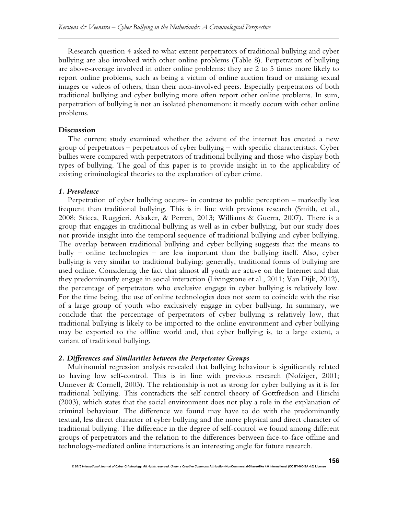Research question 4 asked to what extent perpetrators of traditional bullying and cyber bullying are also involved with other online problems (Table 8). Perpetrators of bullying are above-average involved in other online problems: they are 2 to 5 times more likely to report online problems, such as being a victim of online auction fraud or making sexual images or videos of others, than their non-involved peers. Especially perpetrators of both traditional bullying and cyber bullying more often report other online problems. In sum, perpetration of bullying is not an isolated phenomenon: it mostly occurs with other online problems.

#### **Discussion**

The current study examined whether the advent of the internet has created a new group of perpetrators – perpetrators of cyber bullying – with specific characteristics. Cyber bullies were compared with perpetrators of traditional bullying and those who display both types of bullying. The goal of this paper is to provide insight in to the applicability of existing criminological theories to the explanation of cyber crime.

#### *1. Prevalence*

Perpetration of cyber bullying occurs– in contrast to public perception – markedly less frequent than traditional bullying. This is in line with previous research (Smith, et al., 2008; Sticca, Ruggieri, Alsaker, & Perren, 2013; Williams & Guerra, 2007). There is a group that engages in traditional bullying as well as in cyber bullying, but our study does not provide insight into the temporal sequence of traditional bullying and cyber bullying. The overlap between traditional bullying and cyber bullying suggests that the means to bully – online technologies – are less important than the bullying itself. Also, cyber bullying is very similar to traditional bullying: generally, traditional forms of bullying are used online. Considering the fact that almost all youth are active on the Internet and that they predominantly engage in social interaction (Livingstone et al., 2011; Van Dijk, 2012), the percentage of perpetrators who exclusive engage in cyber bullying is relatively low. For the time being, the use of online technologies does not seem to coincide with the rise of a large group of youth who exclusively engage in cyber bullying. In summary, we conclude that the percentage of perpetrators of cyber bullying is relatively low, that traditional bullying is likely to be imported to the online environment and cyber bullying may be exported to the offline world and, that cyber bullying is, to a large extent, a variant of traditional bullying.

#### *2. Differences and Similarities between the Perpetrator Groups*

Multinomial regression analysis revealed that bullying behaviour is significantly related to having low self-control. This is in line with previous research (Nofziger, 2001; Unnever & Cornell, 2003). The relationship is not as strong for cyber bullying as it is for traditional bullying. This contradicts the self-control theory of Gottfredson and Hirschi (2003), which states that the social environment does not play a role in the explanation of criminal behaviour. The difference we found may have to do with the predominantly textual, less direct character of cyber bullying and the more physical and direct character of traditional bullying. The difference in the degree of self-control we found among different groups of perpetrators and the relation to the differences between face-to-face offline and technology-mediated online interactions is an interesting angle for future research.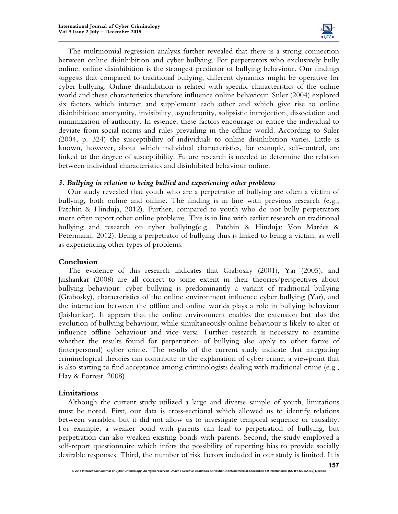

The multinomial regression analysis further revealed that there is a strong connection between online disinhibition and cyber bullying. For perpetrators who exclusively bully online, online disinhibition is the strongest predictor of bullying behaviour. Our findings suggests that compared to traditional bullying, different dynamics might be operative for cyber bullying. Online disinhibition is related with specific characteristics of the online world and these characteristics therefore influence online behaviour. Suler (2004) explored six factors which interact and supplement each other and which give rise to online disinhibition: anonymity, invisibility, asynchronity, solipsistic introjection, dissociation and minimization of authority. In essence, these factors encourage or entice the individual to deviate from social norms and rules prevailing in the offline world. According to Suler (2004, p. 324) the susceptibility of individuals to online disinhibition varies. Little is known, however, about which individual characteristics, for example, self-control, are linked to the degree of susceptibility. Future research is needed to determine the relation between individual characteristics and disinhibited behaviour online.

# *3. Bullying in relation to being bullied and experiencing other problems*

Our study revealed that youth who are a perpetrator of bullying are often a victim of bullying, both online and offline. The finding is in line with previous research (e.g., Patchin & Hinduja, 2012). Further, compared to youth who do not bully perpetrators more often report other online problems. This is in line with earlier research on traditional bullying and research on cyber bullying(e.g., Patchin & Hinduja; Von Marées & Petermann, 2012). Being a perpetrator of bullying thus is linked to being a victim, as well as experiencing other types of problems.

#### **Conclusion**

The evidence of this research indicates that Grabosky (2001), Yar (2005), and Jaishankar (2008) are all correct to some extent in their theories/perspectives about bullying behaviour: cyber bullying is predominantly a variant of traditional bullying (Grabosky), characteristics of the online environment influence cyber bullying (Yar), and the interaction between the offline and online worlds plays a role in bullying behaviour (Jaishankar). It appears that the online environment enables the extension but also the evolution of bullying behaviour, while simultaneously online behaviour is likely to alter or influence offline behaviour and vice versa. Further research is necessary to examine whether the results found for perpetration of bullying also apply to other forms of (interpersonal) cyber crime. The results of the current study indicate that integrating criminological theories can contribute to the explanation of cyber crime, a viewpoint that is also starting to find acceptance among criminologists dealing with traditional crime (e.g., Hay & Forrest, 2008).

#### **Limitations**

Although the current study utilized a large and diverse sample of youth, limitations must be noted. First, our data is cross-sectional which allowed us to identify relations between variables, but it did not allow us to investigate temporal sequence or causality. For example, a weaker bond with parents can lead to perpetration of bullying, but perpetration can also weaken existing bonds with parents. Second, the study employed a self-report questionnaire which infers the possibility of reporting bias to provide socially desirable responses. Third, the number of risk factors included in our study is limited. It is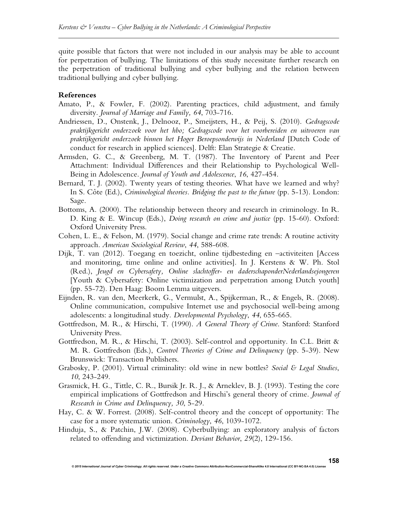quite possible that factors that were not included in our analysis may be able to account for perpetration of bullying. The limitations of this study necessitate further research on the perpetration of traditional bullying and cyber bullying and the relation between traditional bullying and cyber bullying.

#### **References**

- Amato, P., & Fowler, F. (2002). Parenting practices, child adjustment, and family diversity. *Journal of Marriage and Family, 64*, 703-716.
- Andriessen, D., Onstenk, J., Delnooz, P., Smeijsters, H., & Peij, S. (2010). *Gedragscode praktijkgericht onderzoek voor het hbo; Gedragscode voor het voorbereiden en uitvoeren van praktijkgericht onderzoek binnen het Hoger Beroepsonderwijs in Nederland* [Dutch Code of conduct for research in applied sciences]. Delft: Elan Strategie & Creatie.
- Armsden, G. C., & Greenberg, M. T. (1987). The Inventory of Parent and Peer Attachment: Individual Differences and their Relationship to Psychological Well-Being in Adolescence. *Journal of Youth and Adolescence*, *16*, 427-454.
- Bernard, T. J. (2002). Twenty years of testing theories. What have we learned and why? In S. Côte (Ed.), *Criminological theories. Bridging the past to the future* (pp. 5-13). London: Sage.
- Bottoms, A. (2000). The relationship between theory and research in criminology. In R. D. King & E. Wincup (Eds.), *Doing research on crime and justice* (pp. 15-60). Oxford: Oxford University Press.
- Cohen, L. E., & Felson, M. (1979). Social change and crime rate trends: A routine activity approach. *American Sociological Review*, *44*, 588-608.
- Dijk, T. van (2012). Toegang en toezicht, online tijdbesteding en –activiteiten [Access and monitoring, time online and online activities]. In J. Kerstens & W. Ph. Stol (Red.), *Jeugd en Cybersafety, Online slachtoffer- en daderschaponderNederlandsejongeren*  [Youth & Cybersafety: Online victimization and perpetration among Dutch youth] (pp. 55-72). Den Haag: Boom Lemma uitgevers.
- Eijnden, R. van den, Meerkerk, G., Vermulst, A., Spijkerman, R., & Engels, R. (2008). Online communication, compulsive Internet use and psychosocial well-being among adolescents: a longitudinal study*. Developmental Psychology*, *44*, 655-665.
- Gottfredson, M. R., & Hirschi, T. (1990). *A General Theory of Crime*. Stanford: Stanford University Press.
- Gottfredson, M. R., & Hirschi, T. (2003). Self-control and opportunity. In C.L. Britt & M. R. Gottfredson (Eds.), *Control Theories of Crime and Delinquency* (pp. 5-39). New Brunswick: Transaction Publishers.
- Grabosky, P. (2001). Virtual criminality: old wine in new bottles? *Social & Legal Studies*, *10*, 243-249.
- Grasmick, H. G., Tittle, C. R., Bursik Jr. R. J., & Arneklev, B. J. (1993). Testing the core empirical implications of Gottfredson and Hirschi's general theory of crime. *Journal of Research in Crime and Delinquency, 30*, 5-29.
- Hay, C. & W. Forrest. (2008). Self-control theory and the concept of opportunity: The case for a more systematic union. *Criminology*, *46*, 1039-1072.
- Hinduja, S., & Patchin, J.W. (2008). Cyberbullying: an exploratory analysis of factors related to offending and victimization. *Deviant Behavior*, *29*(2), 129-156.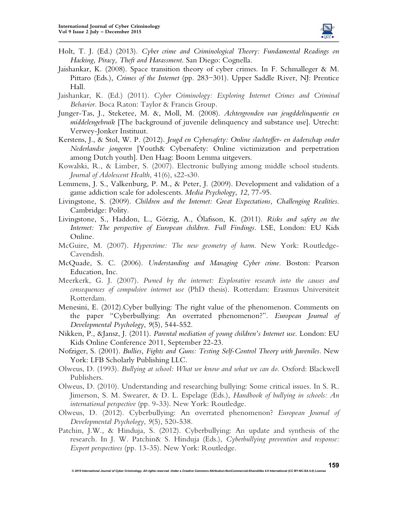

- Holt, T. J. (Ed.) (2013). *Cyber crime and Criminological Theory: Fundamental Readings on Hacking, Piracy, Theft and Harassment*. San Diego: Cognella.
- Jaishankar, K. (2008). Space transition theory of cyber crimes. In F. Schmalleger & M. Pittaro (Eds.), *Crimes of the Internet* (pp. 283−301). Upper Saddle River, NJ: Prentice Hall.
- Jaishankar, K. (Ed.) (2011). *Cyber Criminology: Exploring Internet Crimes and Criminal Behavior.* Boca Raton: Taylor & Francis Group.
- Junger-Tas, J., Steketee, M. &, Moll, M. (2008). *Achtergronden van jeugddelinquentie en middelengebruik* [The background of juvenile delinquency and substance use]. Utrecht: Verwey-Jonker Instituut.
- Kerstens, J., & Stol, W. P. (2012). *Jeugd en Cybersafety: Online slachtoffer- en daderschap onder Nederlandse jongeren* [Youth& Cybersafety: Online victimization and perpetration among Dutch youth]. Den Haag: Boom Lemma uitgevers.
- Kowalski, R., & Limber, S. (2007). Electronic bullying among middle school students. *Journal of Adolescent Health*, 41(6), s22-s30.
- Lemmens, J. S., Valkenburg, P. M., & Peter, J. (2009). Development and validation of a game addiction scale for adolescents. *Media Psychology*, *12*, 77-95.
- Livingstone, S. (2009). *Children and the Internet: Great Expectations, Challenging Realities*. Cambridge: Polity.
- Livingstone, S., Haddon, L., Görzig, A., Ólafsson, K. (2011). *Risks and safety on the Internet: The perspective of European children. Full Findings*. LSE, London: EU Kids Online.
- McGuire, M. (2007). *Hypercrime: The new geometry of harm*. New York: Routledge-Cavendish.
- McQuade, S. C. (2006). *Understanding and Managing Cyber crime*. Boston: Pearson Education, Inc.
- Meerkerk, G. J. (2007). *Pwned by the internet: Explorative research into the causes and consequences of compulsive internet use* (PhD thesis). Rotterdam: Erasmus Universiteit Rotterdam.
- Menesini, E. (2012).Cyber bullying: The right value of the phenomenon. Comments on the paper "Cyberbullying: An overrated phenomenon?". *European Journal of Developmental Psychology*, *9*(5), 544-552.
- Nikken, P., &Jansz, J. (2011). *Parental mediation of young children's Internet use*. London: EU Kids Online Conference 2011, September 22-23.
- Nofziger, S. (2001). *Bullies, Fights and Guns: Testing Self-Control Theory with Juveniles*. New York: LFB Scholarly Publishing LLC.
- Olweus, D. (1993). *Bullying at school: What we know and what we can do*. Oxford: Blackwell Publishers.
- Olweus, D. (2010). Understanding and researching bullying: Some critical issues. In S. R. Jimerson, S. M. Swearer, & D. L. Espelage (Eds.), *Handbook of bullying in schools: An international perspective* (pp. 9-33). New York: Routledge.
- Olweus, D. (2012). Cyberbullying: An overrated phenomenon? *European Journal of Developmental Psychology*, *9*(5), 520-538.
- Patchin, J.W., & Hinduja, S. (2012). Cyberbullying: An update and synthesis of the research. In J. W. Patchin& S. Hinduja (Eds.), *Cyberbullying prevention and response: Expert perspectives* (pp. 13-35). New York: Routledge.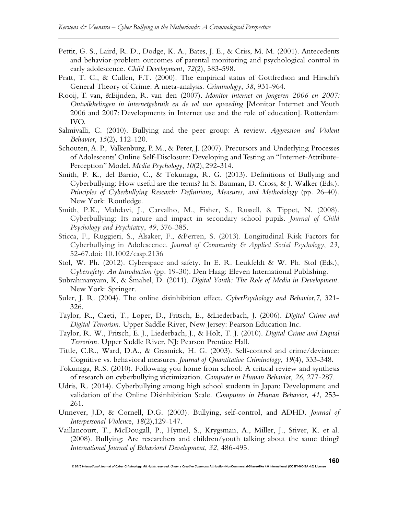- Pettit, G. S., Laird, R. D., Dodge, K. A., Bates, J. E., & Criss, M. M. (2001). Antecedents and behavior-problem outcomes of parental monitoring and psychological control in early adolescence. *Child Development, 72*(2), 583-598.
- Pratt, T. C., & Cullen, F.T. (2000). The empirical status of Gottfredson and Hirschi's General Theory of Crime: A meta-analysis. *Criminology*, *38*, 931-964.
- Rooij, T. van, &Eijnden, R. van den (2007). *Monitor internet en jongeren 2006 en 2007: Ontwikkelingen in internetgebruik en de rol van opvoeding* [Monitor Internet and Youth 2006 and 2007: Developments in Internet use and the role of education]. Rotterdam: IVO.
- Salmivalli, C. (2010). Bullying and the peer group: A review. *Aggression and Violent Behavior*, *15*(2), 112-120.
- Schouten, A. P., Valkenburg, P. M., & Peter, J. (2007). Precursors and Underlying Processes of Adolescents' Online Self-Disclosure: Developing and Testing an "Internet-Attribute-Perception" Model. *Media Psychology*, *10*(2), 292-314.
- Smith, P. K., del Barrio, C., & Tokunaga, R. G. (2013). Definitions of Bullying and Cyberbullying: How useful are the terms? In S. Bauman, D. Cross, & J. Walker (Eds.). *Principles of Cyberbullying Research: Definitions, Measures, and Methodology* (pp. 26-40). New York: Routledge.
- Smith, P.K., Mahdavi, J., Carvalho, M., Fisher, S., Russell, & Tippet, N. (2008). Cyberbullying: Its nature and impact in secondary school pupils. *Journal of Child Psychology and Psychiat*ry, *49*, 376-385.
- Sticca, F., Ruggieri, S., Alsaker, F., &Perren, S. (2013). Longitudinal Risk Factors for Cyberbullying in Adolescence. *Journal of Community & Applied Social Psychology*, *23*, 52-67.doi: 10.1002/casp.2136
- Stol, W. Ph. (2012). Cyberspace and safety. In E. R. Leukfeldt & W. Ph. Stol (Eds.), C*ybersafety: An Introduction* (pp. 19-30). Den Haag: Eleven International Publishing.
- Subrahmanyam, K, & Šmahel, D. (2011). *Digital Youth: The Role of Media in Development*. New York: Springer.
- Suler, J. R. (2004). The online disinhibition effect. *CyberPsychology and Behavior*,*7*, 321- 326.
- Taylor, R., Caeti, T., Loper, D., Fritsch, E., &Liederbach, J. (2006). *Digital Crime and Digital Terrorism.* Upper Saddle River, New Jersey: Pearson Education Inc.
- Taylor, R. W., Fritsch, E. J., Liederbach, J., & Holt, T. J. (2010). *Digital Crime and Digital Terrorism.* Upper Saddle River, NJ: Pearson Prentice Hall.
- Tittle, C.R., Ward, D.A., & Grasmick, H. G. (2003). Self-control and crime/deviance: Cognitive vs. behavioral measures. *Journal of Quantitative Criminology*, *19*(4), 333-348.
- Tokunaga, R.S. (2010). Following you home from school: A critical review and synthesis of research on cyberbullying victimization. *Computer in Human Behavior*, *26*, 277-287.
- Udris, R. (2014). Cyberbullying among high school students in Japan: Development and validation of the Online Disinhibition Scale. *Computers in Human Behavior*, *41*, 253- 261.
- Unnever, J.D, & Cornell, D.G. (2003). Bullying, self-control, and ADHD. *Journal of Interpersonal Violenc*e, *18*(2),129-147.
- Vaillancourt, T., McDougall, P., Hymel, S., Krygsman, A., Miller, J., Stiver, K. et al. (2008). Bullying: Are researchers and children/youth talking about the same thing? *International Journal of Behavioral Development*, *32*, 486-495.

*© 2015 International Journal of Cyber Criminology. All rights reserved. Under a Creative Commons* **Attribution-NonCommercial-ShareAlike 4.0 International (CC BY-NC-SA 4.0) License** 

**160**